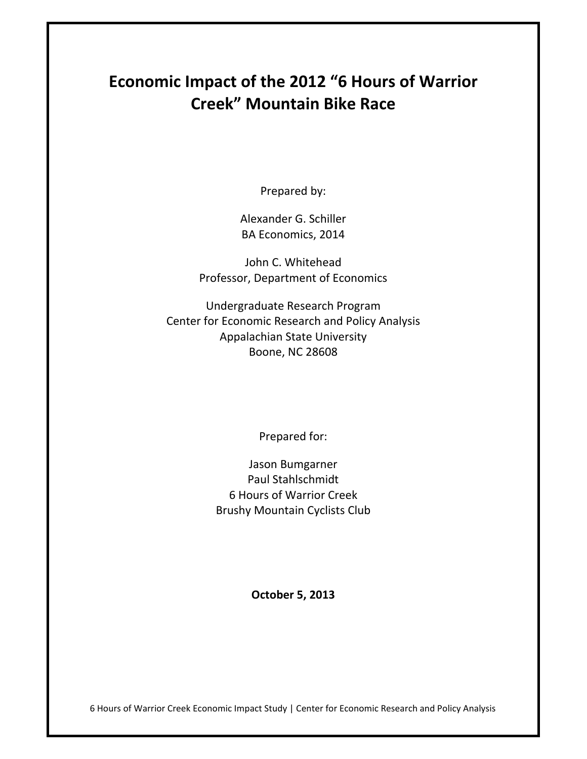# **Economic Impact of the 2012 "6 Hours of Warrior Creek" Mountain Bike Race**

Prepared by:

Alexander G. Schiller BA Economics, 2014

John C. Whitehead Professor, Department of Economics

Undergraduate Research Program Center for Economic Research and Policy Analysis Appalachian State University Boone, NC 28608

Prepared for:

Jason Bumgarner Paul Stahlschmidt 6 Hours of Warrior Creek Brushy Mountain Cyclists Club

**October 5, 2013**

6 Hours of Warrior Creek Economic Impact Study | Center for Economic Research and Policy Analysis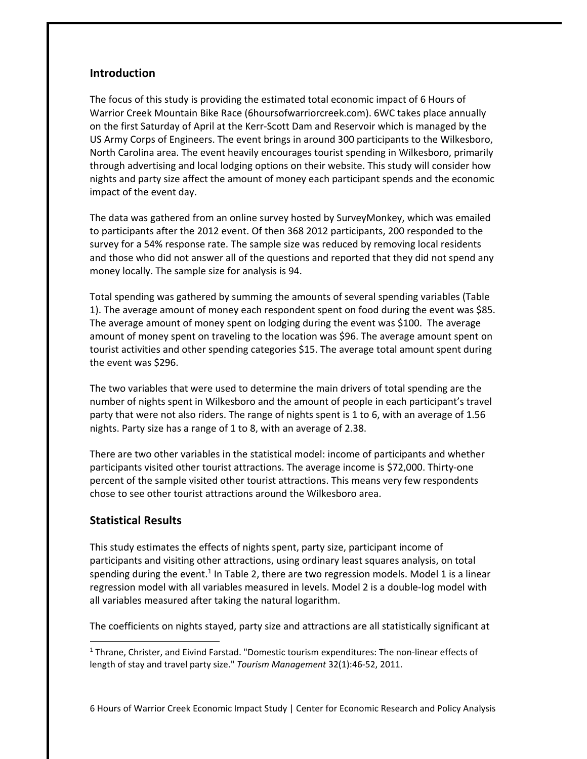## **Introduction**

The focus of this study is providing the estimated total economic impact of 6 Hours of Warrior Creek Mountain Bike Race (6hoursofwarriorcreek.com). 6WC takes place annually on the first Saturday of April at the Kerr‐Scott Dam and Reservoir which is managed by the US Army Corps of Engineers. The event brings in around 300 participants to the Wilkesboro, North Carolina area. The event heavily encourages tourist spending in Wilkesboro, primarily through advertising and local lodging options on their website. This study will consider how nights and party size affect the amount of money each participant spends and the economic impact of the event day.

The data was gathered from an online survey hosted by SurveyMonkey, which was emailed to participants after the 2012 event. Of then 368 2012 participants, 200 responded to the survey for a 54% response rate. The sample size was reduced by removing local residents and those who did not answer all of the questions and reported that they did not spend any money locally. The sample size for analysis is 94.

Total spending was gathered by summing the amounts of several spending variables (Table 1). The average amount of money each respondent spent on food during the event was \$85. The average amount of money spent on lodging during the event was \$100. The average amount of money spent on traveling to the location was \$96. The average amount spent on tourist activities and other spending categories \$15. The average total amount spent during the event was \$296.

The two variables that were used to determine the main drivers of total spending are the number of nights spent in Wilkesboro and the amount of people in each participant's travel party that were not also riders. The range of nights spent is 1 to 6, with an average of 1.56 nights. Party size has a range of 1 to 8, with an average of 2.38.

There are two other variables in the statistical model: income of participants and whether participants visited other tourist attractions. The average income is \$72,000. Thirty‐one percent of the sample visited other tourist attractions. This means very few respondents chose to see other tourist attractions around the Wilkesboro area.

### **Statistical Results**

This study estimates the effects of nights spent, party size, participant income of participants and visiting other attractions, using ordinary least squares analysis, on total spending during the event.<sup>1</sup> In Table 2, there are two regression models. Model 1 is a linear regression model with all variables measured in levels. Model 2 is a double‐log model with all variables measured after taking the natural logarithm.

The coefficients on nights stayed, party size and attractions are all statistically significant at

 $1$  Thrane, Christer, and Eivind Farstad. "Domestic tourism expenditures: The non-linear effects of length of stay and travel party size." *Tourism Management* 32(1):46‐52, 2011.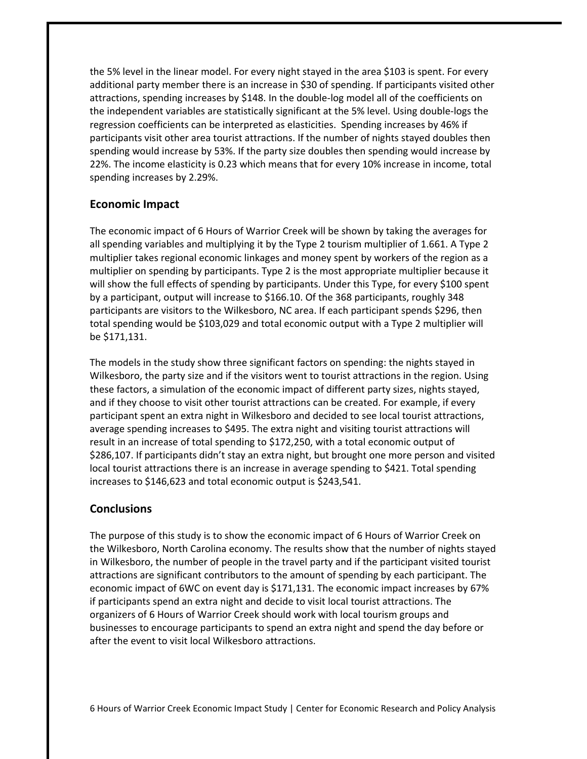the 5% level in the linear model. For every night stayed in the area \$103 is spent. For every additional party member there is an increase in \$30 of spending. If participants visited other attractions, spending increases by \$148. In the double‐log model all of the coefficients on the independent variables are statistically significant at the 5% level. Using double‐logs the regression coefficients can be interpreted as elasticities. Spending increases by 46% if participants visit other area tourist attractions. If the number of nights stayed doubles then spending would increase by 53%. If the party size doubles then spending would increase by 22%. The income elasticity is 0.23 which means that for every 10% increase in income, total spending increases by 2.29%.

### **Economic Impact**

The economic impact of 6 Hours of Warrior Creek will be shown by taking the averages for all spending variables and multiplying it by the Type 2 tourism multiplier of 1.661. A Type 2 multiplier takes regional economic linkages and money spent by workers of the region as a multiplier on spending by participants. Type 2 is the most appropriate multiplier because it will show the full effects of spending by participants. Under this Type, for every \$100 spent by a participant, output will increase to \$166.10. Of the 368 participants, roughly 348 participants are visitors to the Wilkesboro, NC area. If each participant spends \$296, then total spending would be \$103,029 and total economic output with a Type 2 multiplier will be \$171,131.

The models in the study show three significant factors on spending: the nights stayed in Wilkesboro, the party size and if the visitors went to tourist attractions in the region. Using these factors, a simulation of the economic impact of different party sizes, nights stayed, and if they choose to visit other tourist attractions can be created. For example, if every participant spent an extra night in Wilkesboro and decided to see local tourist attractions, average spending increases to \$495. The extra night and visiting tourist attractions will result in an increase of total spending to \$172,250, with a total economic output of \$286,107. If participants didn't stay an extra night, but brought one more person and visited local tourist attractions there is an increase in average spending to \$421. Total spending increases to \$146,623 and total economic output is \$243,541.

#### **Conclusions**

The purpose of this study is to show the economic impact of 6 Hours of Warrior Creek on the Wilkesboro, North Carolina economy. The results show that the number of nights stayed in Wilkesboro, the number of people in the travel party and if the participant visited tourist attractions are significant contributors to the amount of spending by each participant. The economic impact of 6WC on event day is \$171,131. The economic impact increases by 67% if participants spend an extra night and decide to visit local tourist attractions. The organizers of 6 Hours of Warrior Creek should work with local tourism groups and businesses to encourage participants to spend an extra night and spend the day before or after the event to visit local Wilkesboro attractions.